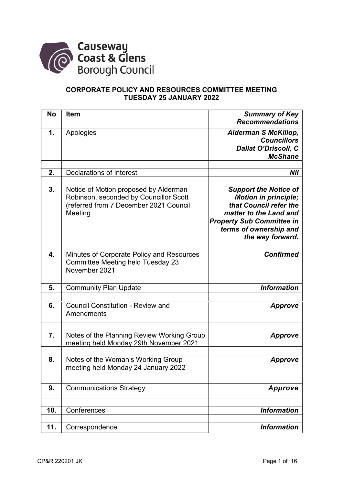

## **CORPORATE POLICY AND RESOURCES COMMITTEE MEETING TUESDAY 25 JANUARY 2022**

| <b>No</b> | <b>Item</b>                                                                                                                          | <b>Summary of Key</b><br><b>Recommendations</b>                                                                                                                                                   |
|-----------|--------------------------------------------------------------------------------------------------------------------------------------|---------------------------------------------------------------------------------------------------------------------------------------------------------------------------------------------------|
| 1.        | Apologies                                                                                                                            | <b>Alderman S McKillop,</b><br><b>Councillors</b><br><b>Dallat O'Driscoll, C</b><br><b>McShane</b>                                                                                                |
| 2.        | <b>Declarations of Interest</b>                                                                                                      | Nil                                                                                                                                                                                               |
|           |                                                                                                                                      |                                                                                                                                                                                                   |
| 3.        | Notice of Motion proposed by Alderman<br>Robinson, seconded by Councillor Scott<br>(referred from 7 December 2021 Council<br>Meeting | <b>Support the Notice of</b><br><b>Motion in principle;</b><br>that Council refer the<br>matter to the Land and<br><b>Property Sub Committee in</b><br>terms of ownership and<br>the way forward. |
| 4.        | Minutes of Corporate Policy and Resources<br><b>Committee Meeting held Tuesday 23</b><br>November 2021                               | <b>Confirmed</b>                                                                                                                                                                                  |
|           |                                                                                                                                      |                                                                                                                                                                                                   |
| 5.        | <b>Community Plan Update</b>                                                                                                         | <b>Information</b>                                                                                                                                                                                |
| 6.        | <b>Council Constitution - Review and</b><br>Amendments                                                                               | <b>Approve</b>                                                                                                                                                                                    |
|           |                                                                                                                                      |                                                                                                                                                                                                   |
| 7.        | Notes of the Planning Review Working Group<br>meeting held Monday 29th November 2021                                                 | <b>Approve</b>                                                                                                                                                                                    |
| 8.        | Notes of the Woman's Working Group<br>meeting held Monday 24 January 2022                                                            | <b>Approve</b>                                                                                                                                                                                    |
|           |                                                                                                                                      |                                                                                                                                                                                                   |
| 9.        | <b>Communications Strategy</b>                                                                                                       | Approve                                                                                                                                                                                           |
| 10.       | Conferences                                                                                                                          | <b>Information</b>                                                                                                                                                                                |
| 11.       | Correspondence                                                                                                                       | <b>Information</b>                                                                                                                                                                                |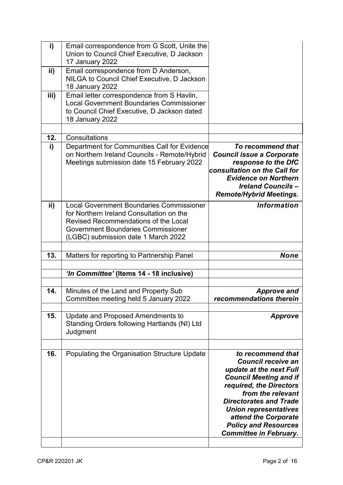| i)   | Email correspondence from G Scott, Unite the<br>Union to Council Chief Executive, D Jackson                                                                                                                                    |                                                                                                                                                                                                           |
|------|--------------------------------------------------------------------------------------------------------------------------------------------------------------------------------------------------------------------------------|-----------------------------------------------------------------------------------------------------------------------------------------------------------------------------------------------------------|
| ii)  | 17 January 2022<br>Email correspondence from D Anderson,<br>NILGA to Council Chief Executive, D Jackson<br>18 January 2022                                                                                                     |                                                                                                                                                                                                           |
| iii) | Email letter correspondence from S Havlin,<br><b>Local Government Boundaries Commissioner</b><br>to Council Chief Executive, D Jackson dated<br>18 January 2022                                                                |                                                                                                                                                                                                           |
| 12.  | Consultations                                                                                                                                                                                                                  |                                                                                                                                                                                                           |
| i)   | Department for Communities Call for Evidence<br>on Northern Ireland Councils - Remote/Hybrid<br>Meetings submission date 15 February 2022                                                                                      | To recommend that<br><b>Council issue a Corporate</b><br>response to the DfC<br>consultation on the Call for<br><b>Evidence on Northern</b><br><b>Ireland Councils-</b><br><b>Remote/Hybrid Meetings.</b> |
| ii)  | <b>Local Government Boundaries Commissioner</b><br>for Northern Ireland Consultation on the<br><b>Revised Recommendations of the Local</b><br><b>Government Boundaries Commissioner</b><br>(LGBC) submission date 1 March 2022 | <b>Information</b>                                                                                                                                                                                        |
| 13.  | Matters for reporting to Partnership Panel                                                                                                                                                                                     | <b>None</b>                                                                                                                                                                                               |
|      |                                                                                                                                                                                                                                |                                                                                                                                                                                                           |
|      | 'In Committee' (Items 14 - 18 inclusive)                                                                                                                                                                                       |                                                                                                                                                                                                           |
| 14.  | Minutes of the Land and Property Sub<br>Committee meeting held 5 January 2022                                                                                                                                                  | <b>Approve and</b><br>recommendations therein                                                                                                                                                             |
| 15.  | Update and Proposed Amendments to<br>Standing Orders following Hartlands (NI) Ltd<br>Judgment                                                                                                                                  | Approve                                                                                                                                                                                                   |
| 16.  | Populating the Organisation Structure Update                                                                                                                                                                                   | to recommend that<br><b>Council receive an</b><br>update at the next Full<br><b>Council Meeting and if</b><br>required, the Directors<br>from the relevant                                                |